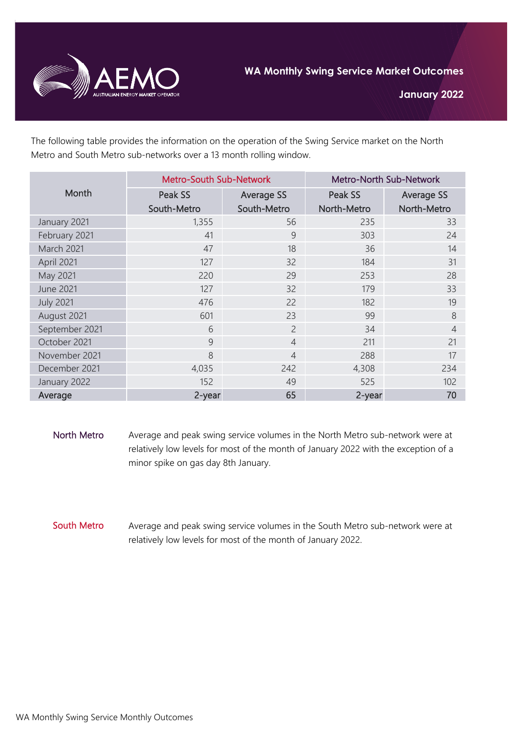

The following table provides the information on the operation of the Swing Service market on the North Metro and South Metro sub-networks over a 13 month rolling window.

| Month            | <b>Metro-South Sub-Network</b> |                   | <b>Metro-North Sub-Network</b> |                   |
|------------------|--------------------------------|-------------------|--------------------------------|-------------------|
|                  | Peak SS                        | <b>Average SS</b> | Peak SS                        | <b>Average SS</b> |
|                  | South-Metro                    | South-Metro       | North-Metro                    | North-Metro       |
| January 2021     | 1,355                          | 56                | 235                            | 33                |
| February 2021    | 41                             | 9                 | 303                            | 24                |
| March 2021       | 47                             | 18                | 36                             | 14                |
| April 2021       | 127                            | 32                | 184                            | 31                |
| May 2021         | 220                            | 29                | 253                            | 28                |
| <b>June 2021</b> | 127                            | 32                | 179                            | 33                |
| <b>July 2021</b> | 476                            | 22                | 182                            | 19                |
| August 2021      | 601                            | 23                | 99                             | 8                 |
| September 2021   | 6                              | $\overline{c}$    | 34                             | $\overline{4}$    |
| October 2021     | 9                              | $\overline{4}$    | 211                            | 21                |
| November 2021    | 8                              | $\overline{4}$    | 288                            | 17                |
| December 2021    | 4,035                          | 242               | 4,308                          | 234               |
| January 2022     | 152                            | 49                | 525                            | 102               |
| Average          | 2-year                         | 65                | 2-year                         | 70                |

- North Metro Average and peak swing service volumes in the North Metro sub-network were at relatively low levels for most of the month of January 2022 with the exception of a minor spike on gas day 8th January.
- South Metro Average and peak swing service volumes in the South Metro sub-network were at relatively low levels for most of the month of January 2022.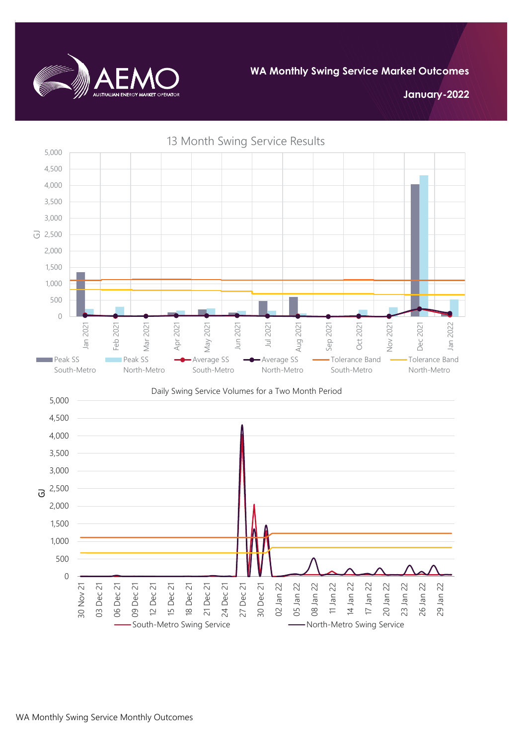

**WA Monthly Swing Service Market Outcomes**

**January-2022**